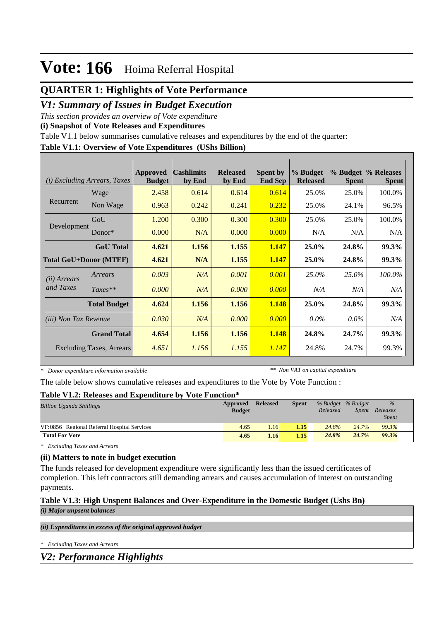## **QUARTER 1: Highlights of Vote Performance**

## *V1: Summary of Issues in Budget Execution*

*This section provides an overview of Vote expenditure* 

**(i) Snapshot of Vote Releases and Expenditures**

Table V1.1 below summarises cumulative releases and expenditures by the end of the quarter:

#### **Table V1.1: Overview of Vote Expenditures (UShs Billion)**

|                              | (i) Excluding Arrears, Taxes  | <b>Approved</b><br><b>Budget</b> | <b>Cashlimits</b><br>by End | <b>Released</b><br>by End | <b>Spent by</b><br><b>End Sep</b> | % Budget<br><b>Released</b> | <b>Spent</b> | % Budget % Releases<br><b>Spent</b> |
|------------------------------|-------------------------------|----------------------------------|-----------------------------|---------------------------|-----------------------------------|-----------------------------|--------------|-------------------------------------|
|                              | Wage                          | 2.458                            | 0.614                       | 0.614                     | 0.614                             | 25.0%                       | 25.0%        | 100.0%                              |
| Recurrent                    | Non Wage                      | 0.963                            | 0.242                       | 0.241                     | 0.232                             | 25.0%                       | 24.1%        | 96.5%                               |
|                              | GoU                           | 1.200                            | 0.300                       | 0.300                     | 0.300                             | 25.0%                       | 25.0%        | 100.0%                              |
| Development                  | Donor $*$                     | 0.000                            | N/A                         | 0.000                     | 0.000                             | N/A                         | N/A          | N/A                                 |
|                              | <b>GoU</b> Total              | 4.621                            | 1.156                       | 1.155                     | 1.147                             | 25.0%                       | 24.8%        | 99.3%                               |
|                              | <b>Total GoU+Donor (MTEF)</b> | 4.621                            | N/A                         | 1.155                     | 1.147                             | 25.0%                       | 24.8%        | <b>99.3%</b>                        |
| ( <i>ii</i> ) Arrears        | Arrears                       | 0.003                            | N/A                         | 0.001                     | 0.001                             | 25.0%                       | 25.0%        | 100.0%                              |
| and Taxes                    | $Taxes**$                     | 0.000                            | N/A                         | 0.000                     | 0.000                             | N/A                         | N/A          | N/A                                 |
|                              | <b>Total Budget</b>           | 4.624                            | 1.156                       | 1.156                     | 1.148                             | 25.0%                       | 24.8%        | 99.3%                               |
| <i>(iii)</i> Non Tax Revenue |                               | 0.030                            | N/A                         | 0.000                     | 0.000                             | $0.0\%$                     | $0.0\%$      | N/A                                 |
|                              | <b>Grand Total</b>            | 4.654                            | 1.156                       | 1.156                     | 1.148                             | 24.8%                       | 24.7%        | 99.3%                               |
|                              | Excluding Taxes, Arrears      | 4.651                            | 1.156                       | 1.155                     | 1.147                             | 24.8%                       | 24.7%        | 99.3%                               |

*\* Donor expenditure information available*

*\*\* Non VAT on capital expenditure*

The table below shows cumulative releases and expenditures to the Vote by Vote Function :

### **Table V1.2: Releases and Expenditure by Vote Function\***

| <b>Billion Uganda Shillings</b>             | Approved<br><b>Budget</b> | <b>Released</b> | <b>Spent</b> | % Budget % Budget<br>Released | Spent | $\%$<br>Releases<br><i>Spent</i> |  |
|---------------------------------------------|---------------------------|-----------------|--------------|-------------------------------|-------|----------------------------------|--|
| VF:0856 Regional Referral Hospital Services | 4.65                      | 1.16'           | 1.15         | 24.8%                         | 24.7% | 99.3%                            |  |
| <b>Total For Vote</b>                       | 4.65                      | 1.16            | 1.15         | 24.8%                         | 24.7% | 99.3%                            |  |

*\* Excluding Taxes and Arrears*

### **(ii) Matters to note in budget execution**

The funds released for development expenditure were significantly less than the issued certificates of completion. This left contractors still demanding arrears and causes accumulation of interest on outstanding payments.

### **Table V1.3: High Unspent Balances and Over-Expenditure in the Domestic Budget (Ushs Bn)** *(i) Major unpsent balances*

*(ii) Expenditures in excess of the original approved budget*

*\* Excluding Taxes and Arrears*

## *V2: Performance Highlights*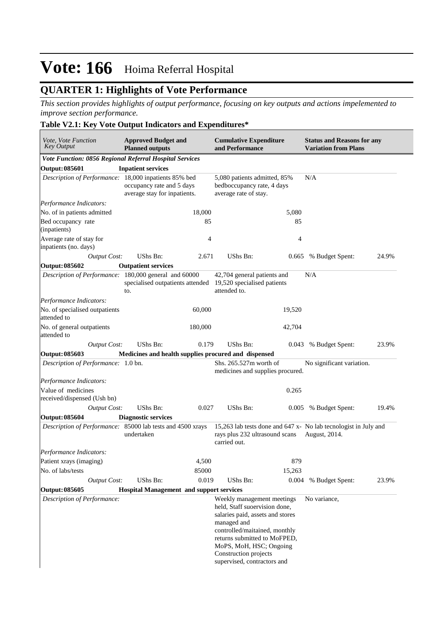## **QUARTER 1: Highlights of Vote Performance**

*This section provides highlights of output performance, focusing on key outputs and actions impelemented to improve section performance.*

## **Table V2.1: Key Vote Output Indicators and Expenditures\***

| Vote, Vote Function<br><b>Key Output</b>                   |  | <b>Approved Budget and</b><br><b>Planned outputs</b>      |         | <b>Cumulative Expenditure</b><br>and Performance                                                                                                                                                                                                                   |        | <b>Status and Reasons for any</b><br><b>Variation from Plans</b>                 |       |  |
|------------------------------------------------------------|--|-----------------------------------------------------------|---------|--------------------------------------------------------------------------------------------------------------------------------------------------------------------------------------------------------------------------------------------------------------------|--------|----------------------------------------------------------------------------------|-------|--|
| Vote Function: 0856 Regional Referral Hospital Services    |  |                                                           |         |                                                                                                                                                                                                                                                                    |        |                                                                                  |       |  |
| <b>Output: 085601</b>                                      |  | <b>Inpatient services</b>                                 |         |                                                                                                                                                                                                                                                                    |        |                                                                                  |       |  |
| Description of Performance: 18,000 inpatients 85% bed      |  | occupancy rate and 5 days<br>average stay for inpatients. |         | 5,080 patients admitted, 85%<br>bedboccupancy rate, 4 days<br>average rate of stay.                                                                                                                                                                                |        | N/A                                                                              |       |  |
| Performance Indicators:                                    |  |                                                           |         |                                                                                                                                                                                                                                                                    |        |                                                                                  |       |  |
| No. of in patients admitted                                |  |                                                           | 18,000  |                                                                                                                                                                                                                                                                    | 5,080  |                                                                                  |       |  |
| Bed occupancy rate<br>(inpatients)                         |  |                                                           | 85      |                                                                                                                                                                                                                                                                    | 85     |                                                                                  |       |  |
| Average rate of stay for<br>inpatients (no. days)          |  |                                                           | 4       |                                                                                                                                                                                                                                                                    | 4      |                                                                                  |       |  |
| <b>Output Cost:</b>                                        |  | UShs Bn:                                                  | 2.671   | <b>UShs Bn:</b>                                                                                                                                                                                                                                                    | 0.665  | % Budget Spent:                                                                  | 24.9% |  |
| Output: 085602                                             |  | <b>Outpatient services</b>                                |         |                                                                                                                                                                                                                                                                    |        |                                                                                  |       |  |
| Description of Performance: 180,000 general and 60000      |  | specialised outpatients attended<br>to.                   |         | 42,704 general patients and<br>19,520 specialised patients<br>attended to.                                                                                                                                                                                         |        | N/A                                                                              |       |  |
| Performance Indicators:                                    |  |                                                           |         |                                                                                                                                                                                                                                                                    |        |                                                                                  |       |  |
| No. of specialised outpatients<br>attended to              |  |                                                           | 60,000  |                                                                                                                                                                                                                                                                    | 19,520 |                                                                                  |       |  |
| No. of general outpatients<br>attended to                  |  |                                                           | 180,000 |                                                                                                                                                                                                                                                                    | 42,704 |                                                                                  |       |  |
| <b>Output Cost:</b>                                        |  | UShs Bn:                                                  | 0.179   | <b>UShs Bn:</b>                                                                                                                                                                                                                                                    | 0.043  | % Budget Spent:                                                                  | 23.9% |  |
| Output: 085603                                             |  | Medicines and health supplies procured and dispensed      |         |                                                                                                                                                                                                                                                                    |        |                                                                                  |       |  |
| Description of Performance: 1.0 bn.                        |  |                                                           |         | Shs. 265.527m worth of<br>medicines and supplies procured.                                                                                                                                                                                                         |        | No significant variation.                                                        |       |  |
| Performance Indicators:                                    |  |                                                           |         |                                                                                                                                                                                                                                                                    |        |                                                                                  |       |  |
| Value of medicines<br>received/dispensed (Ush bn)          |  |                                                           |         |                                                                                                                                                                                                                                                                    | 0.265  |                                                                                  |       |  |
| <b>Output Cost:</b>                                        |  | UShs Bn:                                                  | 0.027   | UShs Bn:                                                                                                                                                                                                                                                           | 0.005  | % Budget Spent:                                                                  | 19.4% |  |
| Output: 085604                                             |  | <b>Diagnostic services</b>                                |         |                                                                                                                                                                                                                                                                    |        |                                                                                  |       |  |
| Description of Performance: 85000 lab tests and 4500 xrays |  | undertaken                                                |         | rays plus 232 ultrasound scans<br>carried out.                                                                                                                                                                                                                     |        | 15,263 lab tests done and 647 x- No lab tecnologist in July and<br>August, 2014. |       |  |
| Performance Indicators:                                    |  |                                                           |         |                                                                                                                                                                                                                                                                    |        |                                                                                  |       |  |
| Patient xrays (imaging)                                    |  |                                                           | 4,500   |                                                                                                                                                                                                                                                                    | 879    |                                                                                  |       |  |
| No. of labs/tests                                          |  |                                                           | 85000   |                                                                                                                                                                                                                                                                    | 15,263 |                                                                                  |       |  |
| <b>Output Cost:</b>                                        |  | UShs Bn:                                                  | 0.019   | UShs Bn:                                                                                                                                                                                                                                                           | 0.004  | % Budget Spent:                                                                  | 23.9% |  |
| Output: 085605                                             |  | <b>Hospital Management and support services</b>           |         |                                                                                                                                                                                                                                                                    |        |                                                                                  |       |  |
| Description of Performance:                                |  |                                                           |         | Weekly management meetings<br>held, Staff suoervision done,<br>salaries paid, assets and stores<br>managed and<br>controlled/maitained, monthly<br>returns submitted to MoFPED,<br>MoPS, MoH, HSC; Ongoing<br>Construction projects<br>supervised, contractors and |        | No variance,                                                                     |       |  |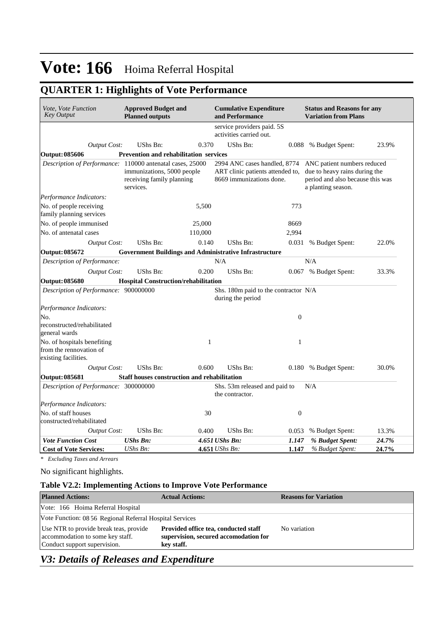## **QUARTER 1: Highlights of Vote Performance**

| Vote, Vote Function<br><b>Key Output</b>                                       | <b>Approved Budget and</b><br><b>Planned outputs</b>                 |         | <b>Cumulative Expenditure</b><br>and Performance                                                                                                                                                                       |                  | <b>Status and Reasons for any</b><br><b>Variation from Plans</b> |       |  |  |
|--------------------------------------------------------------------------------|----------------------------------------------------------------------|---------|------------------------------------------------------------------------------------------------------------------------------------------------------------------------------------------------------------------------|------------------|------------------------------------------------------------------|-------|--|--|
|                                                                                |                                                                      |         | service providers paid. 5S<br>activities carried out.                                                                                                                                                                  |                  |                                                                  |       |  |  |
| <b>Output Cost:</b>                                                            | UShs Bn:                                                             | 0.370   | UShs Bn:                                                                                                                                                                                                               |                  | 0.088 % Budget Spent:                                            | 23.9% |  |  |
| <b>Output: 085606</b>                                                          | <b>Prevention and rehabilitation services</b>                        |         |                                                                                                                                                                                                                        |                  |                                                                  |       |  |  |
| Description of Performance: 110000 antenatal cases, 25000                      | immunizations, 5000 people<br>receiving family planning<br>services. |         | 2994 ANC cases handled, 8774<br>ANC patient numbers reduced<br>ART clinic patients attended to,<br>due to heavy rains during the<br>8669 immunizations done.<br>period and also because this was<br>a planting season. |                  |                                                                  |       |  |  |
| Performance Indicators:                                                        |                                                                      |         |                                                                                                                                                                                                                        |                  |                                                                  |       |  |  |
| No. of people receiving<br>family planning services                            |                                                                      | 5,500   |                                                                                                                                                                                                                        | 773              |                                                                  |       |  |  |
| No. of people immunised                                                        |                                                                      | 25,000  |                                                                                                                                                                                                                        | 8669             |                                                                  |       |  |  |
| No. of antenatal cases                                                         |                                                                      | 110,000 |                                                                                                                                                                                                                        | 2,994            |                                                                  |       |  |  |
| <b>Output Cost:</b>                                                            | UShs Bn:                                                             | 0.140   | UShs Bn:                                                                                                                                                                                                               | 0.031            | % Budget Spent:                                                  | 22.0% |  |  |
| <b>Output: 085672</b>                                                          | <b>Government Buildings and Administrative Infrastructure</b>        |         |                                                                                                                                                                                                                        |                  |                                                                  |       |  |  |
| Description of Performance:                                                    |                                                                      |         | N/A                                                                                                                                                                                                                    |                  | N/A                                                              |       |  |  |
| <b>Output Cost:</b>                                                            | UShs Bn:                                                             | 0.200   | UShs Bn:                                                                                                                                                                                                               | 0.067            | % Budget Spent:                                                  | 33.3% |  |  |
| <b>Output: 085680</b>                                                          | <b>Hospital Construction/rehabilitation</b>                          |         |                                                                                                                                                                                                                        |                  |                                                                  |       |  |  |
| Description of Performance: 900000000                                          |                                                                      |         | Shs. 180m paid to the contractor N/A<br>during the period                                                                                                                                                              |                  |                                                                  |       |  |  |
| Performance Indicators:                                                        |                                                                      |         |                                                                                                                                                                                                                        |                  |                                                                  |       |  |  |
| No.                                                                            |                                                                      |         |                                                                                                                                                                                                                        | $\boldsymbol{0}$ |                                                                  |       |  |  |
| reconstructed/rehabilitated<br>general wards                                   |                                                                      |         |                                                                                                                                                                                                                        |                  |                                                                  |       |  |  |
| No. of hospitals benefiting<br>from the rennovation of<br>existing facilities. |                                                                      | 1       |                                                                                                                                                                                                                        | $\mathbf{1}$     |                                                                  |       |  |  |
| <b>Output Cost:</b>                                                            | UShs Bn:                                                             | 0.600   | UShs Bn:                                                                                                                                                                                                               |                  | 0.180 % Budget Spent:                                            | 30.0% |  |  |
| Output: 085681                                                                 | Staff houses construction and rehabilitation                         |         |                                                                                                                                                                                                                        |                  |                                                                  |       |  |  |
| Description of Performance: 300000000                                          |                                                                      |         | Shs. 53m released and paid to<br>the contractor.                                                                                                                                                                       |                  | N/A                                                              |       |  |  |
| Performance Indicators:                                                        |                                                                      |         |                                                                                                                                                                                                                        |                  |                                                                  |       |  |  |
| No. of staff houses<br>constructed/rehabilitated                               |                                                                      | 30      |                                                                                                                                                                                                                        | $\boldsymbol{0}$ |                                                                  |       |  |  |
| <b>Output Cost:</b>                                                            | UShs Bn:                                                             | 0.400   | UShs Bn:                                                                                                                                                                                                               | 0.053            | % Budget Spent:                                                  | 13.3% |  |  |
| <b>Vote Function Cost</b>                                                      | <b>UShs Bn:</b>                                                      |         | 4.651 UShs Bn:                                                                                                                                                                                                         | 1.147            | % Budget Spent:                                                  | 24.7% |  |  |
| <b>Cost of Vote Services:</b>                                                  | UShs Bn:                                                             |         | 4.651 UShs Bn:                                                                                                                                                                                                         | 1.147            | % Budget Spent:                                                  | 24.7% |  |  |

*\* Excluding Taxes and Arrears*

No significant highlights.

## **Table V2.2: Implementing Actions to Improve Vote Performance**

| <b>Planned Actions:</b>                                                                                    | <b>Actual Actions:</b>                                                                      | <b>Reasons for Variation</b> |
|------------------------------------------------------------------------------------------------------------|---------------------------------------------------------------------------------------------|------------------------------|
| Vote: 166 Hoima Referral Hospital                                                                          |                                                                                             |                              |
| Vote Function: 08 56 Regional Referral Hospital Services                                                   |                                                                                             |                              |
| Use NTR to provide break teas, provide<br>accommodation to some key staff.<br>Conduct support supervision. | Provided office tea, conducted staff<br>supervision, secured accomodation for<br>key staff. | No variation                 |

## *V3: Details of Releases and Expenditure*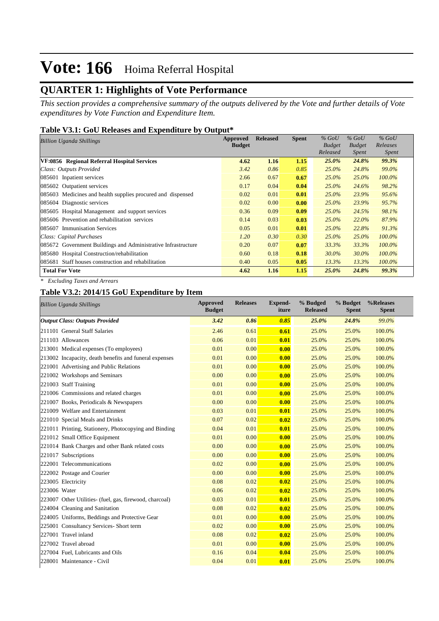## **QUARTER 1: Highlights of Vote Performance**

*This section provides a comprehensive summary of the outputs delivered by the Vote and further details of Vote expenditures by Vote Function and Expenditure Item.*

#### **Table V3.1: GoU Releases and Expenditure by Output\***

| Billion Uganda Shillings                                      | <b>Approved</b> | <b>Released</b> | <b>Spent</b> | $%$ GoU       | $%$ GoU       | $%$ GoU      |
|---------------------------------------------------------------|-----------------|-----------------|--------------|---------------|---------------|--------------|
|                                                               | <b>Budget</b>   |                 |              | <b>Budget</b> | <b>Budget</b> | Releases     |
|                                                               |                 |                 |              | Released      | <i>Spent</i>  | <i>Spent</i> |
| VF:0856 Regional Referral Hospital Services                   | 4.62            | 1.16            | 1.15         | 25.0%         | 24.8%         | <b>99.3%</b> |
| Class: Outputs Provided                                       | 3.42            | 0.86            | 0.85         | 25.0%         | 24.8%         | 99.0%        |
| 085601 Inpatient services                                     | 2.66            | 0.67            | 0.67         | 25.0%         | 25.0%         | 100.0%       |
| 085602 Outpatient services                                    | 0.17            | 0.04            | 0.04         | $25.0\%$      | 24.6%         | 98.2%        |
| 085603 Medicines and health supplies procured and dispensed   | 0.02            | 0.01            | 0.01         | $25.0\%$      | 23.9%         | 95.6%        |
| 085604 Diagnostic services                                    | 0.02            | 0.00            | 0.00         | 25.0%         | 23.9%         | 95.7%        |
| 085605 Hospital Management and support services               | 0.36            | 0.09            | 0.09         | $25.0\%$      | 24.5%         | 98.1%        |
| 085606 Prevention and rehabilitation services                 | 0.14            | 0.03            | 0.03         | $25.0\%$      | 22.0%         | 87.9%        |
| 085607 Immunisation Services                                  | 0.05            | 0.01            | 0.01         | $25.0\%$      | 22.8%         | 91.3%        |
| Class: Capital Purchases                                      | 1.20            | 0.30            | 0.30         | $25.0\%$      | 25.0%         | $100.0\%$    |
| 085672 Government Buildings and Administrative Infrastructure | 0.20            | 0.07            | 0.07         | 33.3%         | 33.3%         | $100.0\%$    |
| 085680 Hospital Construction/rehabilitation                   | 0.60            | 0.18            | 0.18         | 30.0%         | 30.0%         | 100.0%       |
| 085681 Staff houses construction and rehabilitation           | 0.40            | 0.05            | 0.05         | 13.3%         | 13.3%         | 100.0%       |
| <b>Total For Vote</b>                                         | 4.62            | 1.16            | 1.15         | 25.0%         | 24.8%         | 99.3%        |

*\* Excluding Taxes and Arrears*

### **Table V3.2: 2014/15 GoU Expenditure by Item**

| <b>Billion Uganda Shillings</b>                         | <b>Approved</b><br><b>Budget</b> | <b>Releases</b> | <b>Expend-</b><br>iture | % Budged<br><b>Released</b> | % Budget<br><b>Spent</b> | %Releases<br><b>Spent</b> |
|---------------------------------------------------------|----------------------------------|-----------------|-------------------------|-----------------------------|--------------------------|---------------------------|
| <b>Output Class: Outputs Provided</b>                   | 3.42                             | 0.86            | 0.85                    | 25.0%                       | 24.8%                    | 99.0%                     |
| 211101 General Staff Salaries                           | 2.46                             | 0.61            | 0.61                    | 25.0%                       | 25.0%                    | 100.0%                    |
| 211103 Allowances                                       | 0.06                             | 0.01            | 0.01                    | 25.0%                       | 25.0%                    | 100.0%                    |
| 213001 Medical expenses (To employees)                  | 0.01                             | 0.00            | 0.00                    | 25.0%                       | 25.0%                    | 100.0%                    |
| 213002 Incapacity, death benefits and funeral expenses  | 0.01                             | 0.00            | 0.00                    | 25.0%                       | 25.0%                    | 100.0%                    |
| 221001 Advertising and Public Relations                 | 0.01                             | 0.00            | 0.00                    | 25.0%                       | 25.0%                    | 100.0%                    |
| 221002 Workshops and Seminars                           | 0.00                             | 0.00            | 0.00                    | 25.0%                       | 25.0%                    | 100.0%                    |
| 221003 Staff Training                                   | 0.01                             | 0.00            | 0.00                    | 25.0%                       | 25.0%                    | 100.0%                    |
| 221006 Commissions and related charges                  | 0.01                             | 0.00            | 0.00                    | 25.0%                       | 25.0%                    | 100.0%                    |
| 221007 Books, Periodicals & Newspapers                  | 0.00                             | 0.00            | 0.00                    | 25.0%                       | 25.0%                    | 100.0%                    |
| 221009 Welfare and Entertainment                        | 0.03                             | 0.01            | 0.01                    | 25.0%                       | 25.0%                    | 100.0%                    |
| 221010 Special Meals and Drinks                         | 0.07                             | 0.02            | 0.02                    | 25.0%                       | 25.0%                    | 100.0%                    |
| 221011 Printing, Stationery, Photocopying and Binding   | 0.04                             | 0.01            | 0.01                    | 25.0%                       | 25.0%                    | 100.0%                    |
| 221012 Small Office Equipment                           | 0.01                             | 0.00            | 0.00                    | 25.0%                       | 25.0%                    | 100.0%                    |
| 221014 Bank Charges and other Bank related costs        | 0.00                             | 0.00            | 0.00                    | 25.0%                       | 25.0%                    | 100.0%                    |
| 221017 Subscriptions                                    | 0.00                             | 0.00            | 0.00                    | 25.0%                       | 25.0%                    | 100.0%                    |
| 222001 Telecommunications                               | 0.02                             | 0.00            | 0.00                    | 25.0%                       | 25.0%                    | 100.0%                    |
| 222002 Postage and Courier                              | 0.00                             | 0.00            | 0.00                    | 25.0%                       | 25.0%                    | 100.0%                    |
| 223005 Electricity                                      | 0.08                             | 0.02            | 0.02                    | 25.0%                       | 25.0%                    | 100.0%                    |
| 223006 Water                                            | 0.06                             | 0.02            | 0.02                    | 25.0%                       | 25.0%                    | 100.0%                    |
| 223007 Other Utilities- (fuel, gas, firewood, charcoal) | 0.03                             | 0.01            | 0.01                    | 25.0%                       | 25.0%                    | 100.0%                    |
| 224004 Cleaning and Sanitation                          | 0.08                             | 0.02            | 0.02                    | 25.0%                       | 25.0%                    | 100.0%                    |
| 224005 Uniforms, Beddings and Protective Gear           | 0.01                             | 0.00            | 0.00                    | 25.0%                       | 25.0%                    | 100.0%                    |
| 225001 Consultancy Services- Short term                 | 0.02                             | 0.00            | 0.00                    | 25.0%                       | 25.0%                    | 100.0%                    |
| 227001 Travel inland                                    | 0.08                             | 0.02            | 0.02                    | 25.0%                       | 25.0%                    | 100.0%                    |
| 227002 Travel abroad                                    | 0.01                             | 0.00            | 0.00                    | 25.0%                       | 25.0%                    | 100.0%                    |
| 227004 Fuel, Lubricants and Oils                        | 0.16                             | 0.04            | 0.04                    | 25.0%                       | 25.0%                    | 100.0%                    |
| 228001 Maintenance - Civil                              | 0.04                             | 0.01            | 0.01                    | 25.0%                       | 25.0%                    | 100.0%                    |